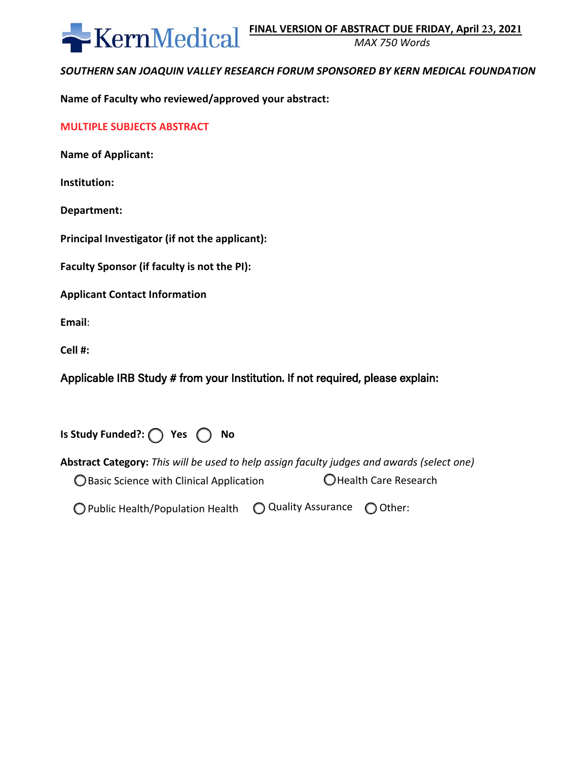

*MAX 750 Words* 

# *SOUTHERN SAN JOAQUIN VALLEY RESEARCH FORUM SPONSORED BY KERN MEDICAL FOUNDATION*

**Name of Faculty who reviewed/approved your abstract:** 

|  |  |  |  | <b>MULTIPLE SUBJECTS ABSTRACT</b> |  |
|--|--|--|--|-----------------------------------|--|
|--|--|--|--|-----------------------------------|--|

**Name of Applicant:** 

**Institution:** 

**Department:** 

**Principal Investigator (if not the applicant):** 

**Faculty Sponsor (if faculty is not the PI):**

**Applicant Contact Information** 

**Email**:

**Cell #:**

Applicable IRB Study # from your Institution. If not required, please explain:

**Is Study Funded?:** ( ) Yes  $\bigcap$  No

**Abstract Category:** *This will be used to help assign faculty judges and awards (select one)*  $\bigcirc$  Basic Science with Clinical Application  $\bigcirc$  Health Care Research

 $\bigcirc$  Public Health/Population Health  $\bigcirc$  Quality Assurance  $\bigcirc$  Other: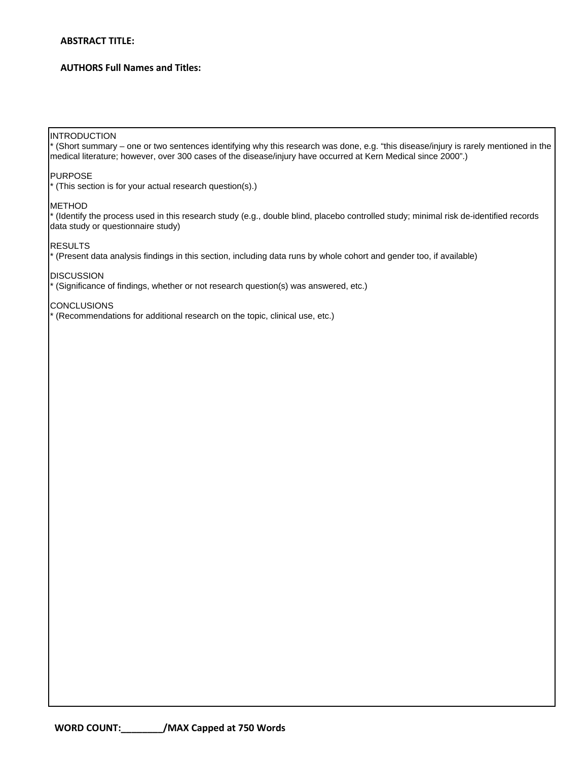### **ABSTRACT TITLE:**

### **AUTHORS Full Names and Titles:**

#### **INTRODUCTION**

\* (Short summary – one or two sentences identifying why this research was done, e.g. "this disease/injury is rarely mentioned in the medical literature; however, over 300 cases of the disease/injury have occurred at Kern Medical since 2000".)

#### PURPOSE

\* (This section is for your actual research question(s).)

#### **METHOD**

\* (Identify the process used in this research study (e.g., double blind, placebo controlled study; minimal risk de-identified records data study or questionnaire study)

#### RESULTS

\* (Present data analysis findings in this section, including data runs by whole cohort and gender too, if available)

**DISCUSSION** 

\* (Significance of findings, whether or not research question(s) was answered, etc.)

### **CONCLUSIONS**

\* (Recommendations for additional research on the topic, clinical use, etc.)